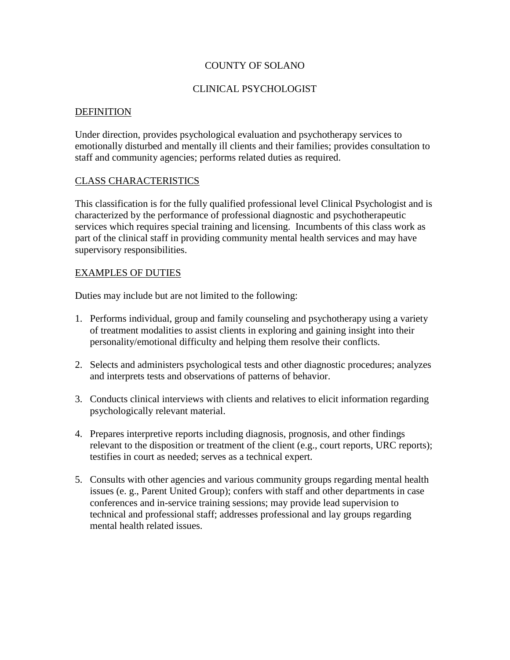### COUNTY OF SOLANO

### CLINICAL PSYCHOLOGIST

#### **DEFINITION**

Under direction, provides psychological evaluation and psychotherapy services to emotionally disturbed and mentally ill clients and their families; provides consultation to staff and community agencies; performs related duties as required.

### CLASS CHARACTERISTICS

This classification is for the fully qualified professional level Clinical Psychologist and is characterized by the performance of professional diagnostic and psychotherapeutic services which requires special training and licensing. Incumbents of this class work as part of the clinical staff in providing community mental health services and may have supervisory responsibilities.

#### EXAMPLES OF DUTIES

Duties may include but are not limited to the following:

- 1. Performs individual, group and family counseling and psychotherapy using a variety of treatment modalities to assist clients in exploring and gaining insight into their personality/emotional difficulty and helping them resolve their conflicts.
- 2. Selects and administers psychological tests and other diagnostic procedures; analyzes and interprets tests and observations of patterns of behavior.
- 3. Conducts clinical interviews with clients and relatives to elicit information regarding psychologically relevant material.
- 4. Prepares interpretive reports including diagnosis, prognosis, and other findings relevant to the disposition or treatment of the client (e.g., court reports, URC reports); testifies in court as needed; serves as a technical expert.
- 5. Consults with other agencies and various community groups regarding mental health issues (e. g., Parent United Group); confers with staff and other departments in case conferences and in-service training sessions; may provide lead supervision to technical and professional staff; addresses professional and lay groups regarding mental health related issues.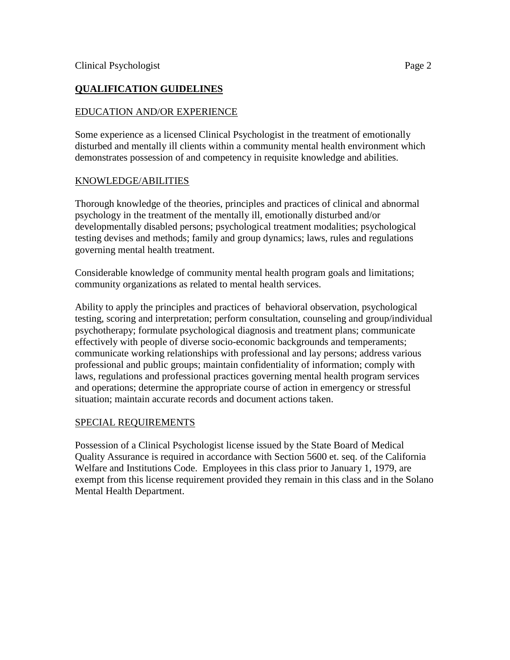# **QUALIFICATION GUIDELINES**

## EDUCATION AND/OR EXPERIENCE

Some experience as a licensed Clinical Psychologist in the treatment of emotionally disturbed and mentally ill clients within a community mental health environment which demonstrates possession of and competency in requisite knowledge and abilities.

### KNOWLEDGE/ABILITIES

Thorough knowledge of the theories, principles and practices of clinical and abnormal psychology in the treatment of the mentally ill, emotionally disturbed and/or developmentally disabled persons; psychological treatment modalities; psychological testing devises and methods; family and group dynamics; laws, rules and regulations governing mental health treatment.

Considerable knowledge of community mental health program goals and limitations; community organizations as related to mental health services.

Ability to apply the principles and practices of behavioral observation, psychological testing, scoring and interpretation; perform consultation, counseling and group/individual psychotherapy; formulate psychological diagnosis and treatment plans; communicate effectively with people of diverse socio-economic backgrounds and temperaments; communicate working relationships with professional and lay persons; address various professional and public groups; maintain confidentiality of information; comply with laws, regulations and professional practices governing mental health program services and operations; determine the appropriate course of action in emergency or stressful situation; maintain accurate records and document actions taken.

## SPECIAL REQUIREMENTS

Possession of a Clinical Psychologist license issued by the State Board of Medical Quality Assurance is required in accordance with Section 5600 et. seq. of the California Welfare and Institutions Code. Employees in this class prior to January 1, 1979, are exempt from this license requirement provided they remain in this class and in the Solano Mental Health Department.